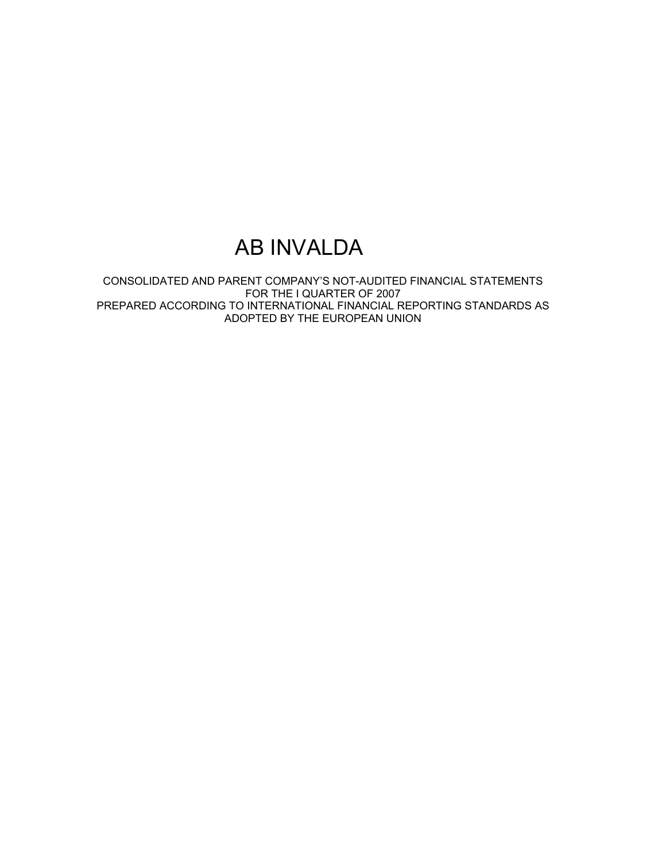# AB INVALDA

CONSOLIDATED AND PARENT COMPANY'S NOT-AUDITED FINANCIAL STATEMENTS FOR THE I QUARTER OF 2007 PREPARED ACCORDING TO INTERNATIONAL FINANCIAL REPORTING STANDARDS AS ADOPTED BY THE EUROPEAN UNION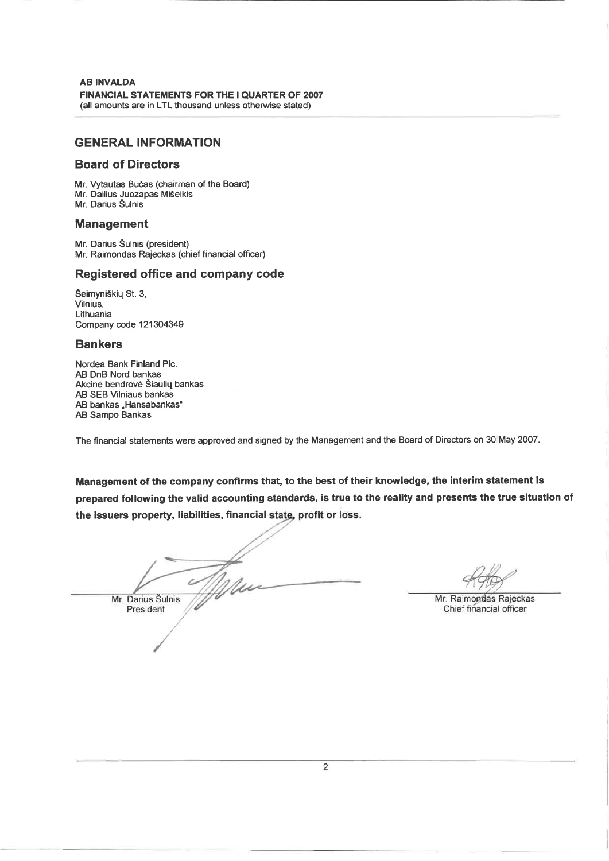### **GENERAL INFORMATION**

### **Board of Directors**

Mr. Vytautas Bučas (chairman of the Board) Mr. Dailius Juozapas Mišeikis Mr. Darius Šulnis

### **Management**

Mr. Darius Šulnis (president) Mr. Raimondas Rajeckas (chief financial officer)

### Registered office and company code

Šeimyniškių St. 3, Vilnius, Lithuania Company code 121304349

### **Bankers**

Nordea Bank Finland Plc. AB DnB Nord bankas Akcinė bendrovė Šiaulių bankas **AB SEB Vilniaus bankas** AB bankas "Hansabankas" AB Sampo Bankas

The financial statements were approved and signed by the Management and the Board of Directors on 30 May 2007.

Management of the company confirms that, to the best of their knowledge, the interim statement is prepared following the valid accounting standards, is true to the reality and presents the true situation of the issuers property, liabilities, financial state, profit or loss.

Mr. Darius Šulnis President

Mr. Raimondas Rajeckas Chief financial officer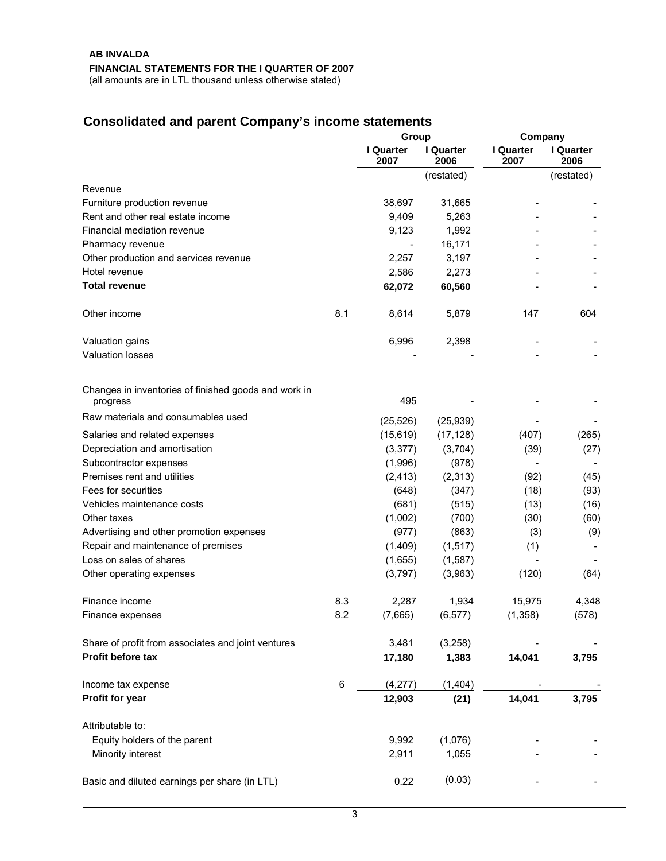# **Consolidated and parent Company's income statements**

|                                                                  |     | Group              |                   | Company           |                   |
|------------------------------------------------------------------|-----|--------------------|-------------------|-------------------|-------------------|
|                                                                  |     | I Quarter<br>2007  | I Quarter<br>2006 | I Quarter<br>2007 | I Quarter<br>2006 |
|                                                                  |     |                    | (restated)        |                   | (restated)        |
| Revenue                                                          |     |                    |                   |                   |                   |
| Furniture production revenue                                     |     | 38,697             | 31,665            |                   |                   |
| Rent and other real estate income                                |     | 9,409              | 5,263             |                   |                   |
| Financial mediation revenue                                      |     | 9,123              | 1,992             |                   |                   |
| Pharmacy revenue                                                 |     | $\overline{a}$     | 16,171            |                   |                   |
| Other production and services revenue                            |     | 2,257              | 3,197             |                   |                   |
| Hotel revenue                                                    |     | 2,586              | 2,273             |                   |                   |
| <b>Total revenue</b>                                             |     | 62,072             | 60,560            |                   |                   |
| Other income                                                     | 8.1 | 8,614              | 5,879             | 147               | 604               |
| Valuation gains                                                  |     | 6,996              | 2,398             |                   |                   |
| <b>Valuation losses</b>                                          |     |                    |                   |                   |                   |
| Changes in inventories of finished goods and work in<br>progress |     | 495                |                   |                   |                   |
| Raw materials and consumables used                               |     |                    |                   |                   |                   |
|                                                                  |     | (25, 526)          | (25, 939)         |                   |                   |
| Salaries and related expenses                                    |     | (15, 619)          | (17, 128)         | (407)             | (265)             |
| Depreciation and amortisation                                    |     | (3, 377)           | (3,704)           | (39)              | (27)              |
| Subcontractor expenses                                           |     | (1,996)            | (978)             |                   |                   |
| Premises rent and utilities                                      |     | (2, 413)           | (2,313)           | (92)              | (45)              |
| Fees for securities                                              |     | (648)              | (347)             | (18)              | (93)              |
| Vehicles maintenance costs                                       |     | (681)              | (515)             | (13)              | (16)              |
| Other taxes                                                      |     | (1,002)            | (700)             | (30)              | (60)              |
| Advertising and other promotion expenses                         |     | (977)              | (863)             | (3)               | (9)               |
| Repair and maintenance of premises<br>Loss on sales of shares    |     | (1,409)<br>(1,655) | (1, 517)          | (1)               |                   |
|                                                                  |     |                    | (1,587)           |                   |                   |
| Other operating expenses                                         |     | (3,797)            | (3,963)           | (120)             | (64)              |
| Finance income                                                   | 8.3 | 2,287              | 1,934             | 15,975            | 4,348             |
| Finance expenses                                                 | 8.2 | (7,665)            | (6, 577)          | (1, 358)          | (578)             |
| Share of profit from associates and joint ventures               |     | 3,481              | (3,258)           |                   |                   |
| Profit before tax                                                |     | 17,180             | 1,383             | 14,041            | 3,795             |
| Income tax expense                                               | 6   | (4,277)            | (1, 404)          |                   |                   |
| Profit for year                                                  |     | 12,903             | (21)              | 14,041            | 3,795             |
| Attributable to:                                                 |     |                    |                   |                   |                   |
| Equity holders of the parent                                     |     | 9,992              | (1,076)           |                   |                   |
| Minority interest                                                |     | 2,911              | 1,055             |                   |                   |
| Basic and diluted earnings per share (in LTL)                    |     | 0.22               | (0.03)            |                   |                   |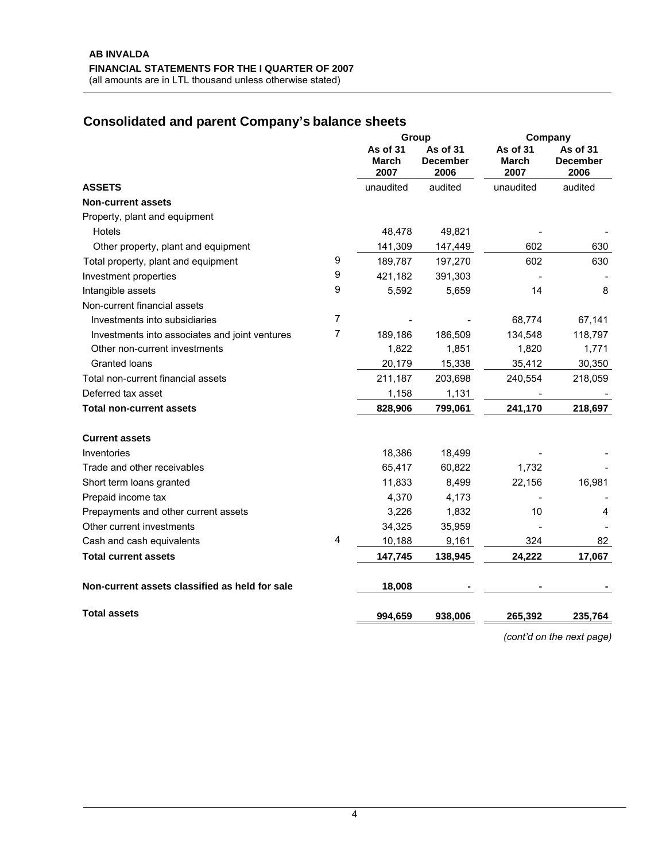# **Consolidated and parent Company's balance sheets**

|                                                     |                           | Group                               |                           | Company                             |
|-----------------------------------------------------|---------------------------|-------------------------------------|---------------------------|-------------------------------------|
|                                                     | As of 31<br>March<br>2007 | As of 31<br><b>December</b><br>2006 | As of 31<br>March<br>2007 | As of 31<br><b>December</b><br>2006 |
| <b>ASSETS</b>                                       | unaudited                 | audited                             | unaudited                 | audited                             |
| <b>Non-current assets</b>                           |                           |                                     |                           |                                     |
| Property, plant and equipment                       |                           |                                     |                           |                                     |
| Hotels                                              | 48,478                    | 49,821                              |                           |                                     |
| Other property, plant and equipment                 | 141,309                   | 147,449                             | 602                       | 630                                 |
| 9<br>Total property, plant and equipment            | 189,787                   | 197,270                             | 602                       | 630                                 |
| 9<br>Investment properties                          | 421,182                   | 391,303                             |                           |                                     |
| 9<br>Intangible assets                              | 5,592                     | 5,659                               | 14                        | 8                                   |
| Non-current financial assets                        |                           |                                     |                           |                                     |
| 7<br>Investments into subsidiaries                  |                           |                                     | 68,774                    | 67,141                              |
| 7<br>Investments into associates and joint ventures | 189,186                   | 186,509                             | 134,548                   | 118,797                             |
| Other non-current investments                       | 1,822                     | 1,851                               | 1,820                     | 1,771                               |
| <b>Granted loans</b>                                | 20,179                    | 15,338                              | 35,412                    | 30,350                              |
| Total non-current financial assets                  | 211,187                   | 203,698                             | 240,554                   | 218,059                             |
| Deferred tax asset                                  | 1,158                     | 1,131                               |                           |                                     |
| <b>Total non-current assets</b>                     | 828,906                   | 799,061                             | 241,170                   | 218,697                             |
| <b>Current assets</b>                               |                           |                                     |                           |                                     |
| Inventories                                         | 18,386                    | 18,499                              |                           |                                     |
| Trade and other receivables                         | 65,417                    | 60,822                              | 1,732                     |                                     |
| Short term loans granted                            | 11,833                    | 8,499                               | 22,156                    | 16,981                              |
| Prepaid income tax                                  | 4,370                     | 4,173                               |                           |                                     |
| Prepayments and other current assets                | 3,226                     | 1,832                               | 10                        | 4                                   |
| Other current investments                           | 34,325                    | 35,959                              |                           |                                     |
| 4<br>Cash and cash equivalents                      | 10,188                    | 9,161                               | 324                       | 82                                  |
| <b>Total current assets</b>                         | 147,745                   | 138,945                             | 24,222                    | 17,067                              |
| Non-current assets classified as held for sale      | 18,008                    |                                     |                           |                                     |
| <b>Total assets</b>                                 | 994,659                   | 938,006                             | 265,392                   | 235,764                             |

*(cont'd on the next page)*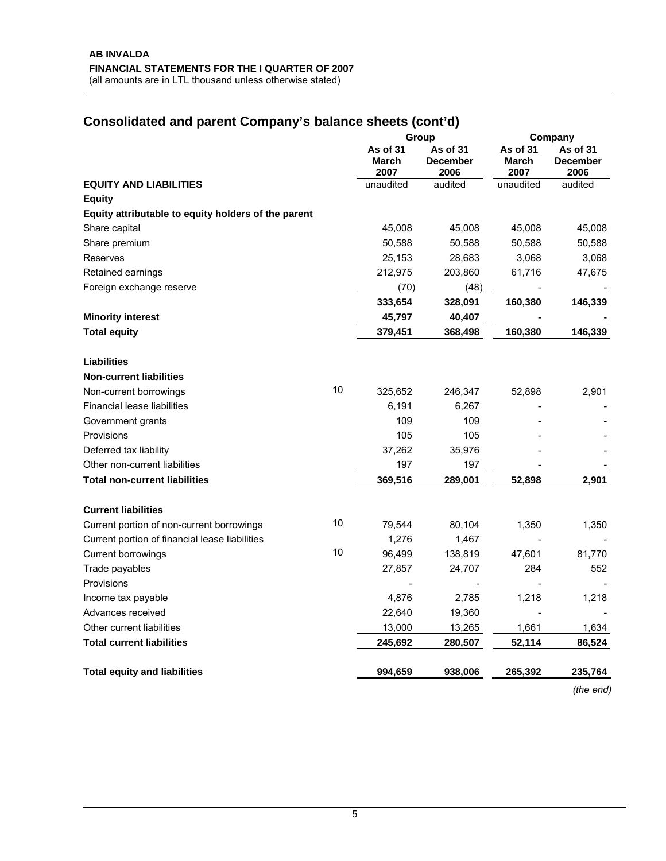# **Consolidated and parent Company's balance sheets (cont'd)**

|                                                     |    |                                  | Group                               |                           | Company                             |
|-----------------------------------------------------|----|----------------------------------|-------------------------------------|---------------------------|-------------------------------------|
|                                                     |    | As of 31<br><b>March</b><br>2007 | As of 31<br><b>December</b><br>2006 | As of 31<br>March<br>2007 | As of 31<br><b>December</b><br>2006 |
| <b>EQUITY AND LIABILITIES</b>                       |    | unaudited                        | audited                             | unaudited                 | audited                             |
| <b>Equity</b>                                       |    |                                  |                                     |                           |                                     |
| Equity attributable to equity holders of the parent |    |                                  |                                     |                           |                                     |
| Share capital                                       |    | 45,008                           | 45,008                              | 45,008                    | 45,008                              |
| Share premium                                       |    | 50,588                           | 50,588                              | 50,588                    | 50,588                              |
| Reserves                                            |    | 25,153                           | 28,683                              | 3,068                     | 3,068                               |
| Retained earnings                                   |    | 212,975                          | 203,860                             | 61,716                    | 47,675                              |
| Foreign exchange reserve                            |    | (70)                             | (48)                                |                           |                                     |
|                                                     |    | 333,654                          | 328,091                             | 160,380                   | 146,339                             |
| <b>Minority interest</b>                            |    | 45,797                           | 40,407                              |                           |                                     |
| <b>Total equity</b>                                 |    | 379,451                          | 368,498                             | 160,380                   | 146,339                             |
| <b>Liabilities</b>                                  |    |                                  |                                     |                           |                                     |
| <b>Non-current liabilities</b>                      |    |                                  |                                     |                           |                                     |
| Non-current borrowings                              | 10 | 325,652                          | 246,347                             | 52,898                    | 2,901                               |
| <b>Financial lease liabilities</b>                  |    | 6,191                            | 6,267                               |                           |                                     |
| Government grants                                   |    | 109                              | 109                                 |                           |                                     |
| Provisions                                          |    | 105                              | 105                                 |                           |                                     |
| Deferred tax liability                              |    | 37,262                           | 35,976                              |                           |                                     |
| Other non-current liabilities                       |    | 197                              | 197                                 |                           |                                     |
| <b>Total non-current liabilities</b>                |    | 369,516                          | 289,001                             | 52,898                    | 2,901                               |
| <b>Current liabilities</b>                          |    |                                  |                                     |                           |                                     |
| Current portion of non-current borrowings           | 10 | 79,544                           | 80,104                              | 1,350                     | 1,350                               |
| Current portion of financial lease liabilities      |    | 1,276                            | 1,467                               |                           |                                     |
| Current borrowings                                  | 10 | 96,499                           | 138,819                             | 47,601                    | 81,770                              |
| Trade payables                                      |    | 27,857                           | 24,707                              | 284                       | 552                                 |
| Provisions                                          |    |                                  |                                     |                           |                                     |
| Income tax payable                                  |    | 4,876                            | 2,785                               | 1,218                     | 1,218                               |
| Advances received                                   |    | 22,640                           | 19,360                              |                           |                                     |
| Other current liabilities                           |    | 13,000                           | 13,265                              | 1,661                     | 1,634                               |
| <b>Total current liabilities</b>                    |    | 245,692                          | 280,507                             | 52,114                    | 86,524                              |
| <b>Total equity and liabilities</b>                 |    | 994,659                          | 938,006                             | 265,392                   | 235,764                             |

*(the end)*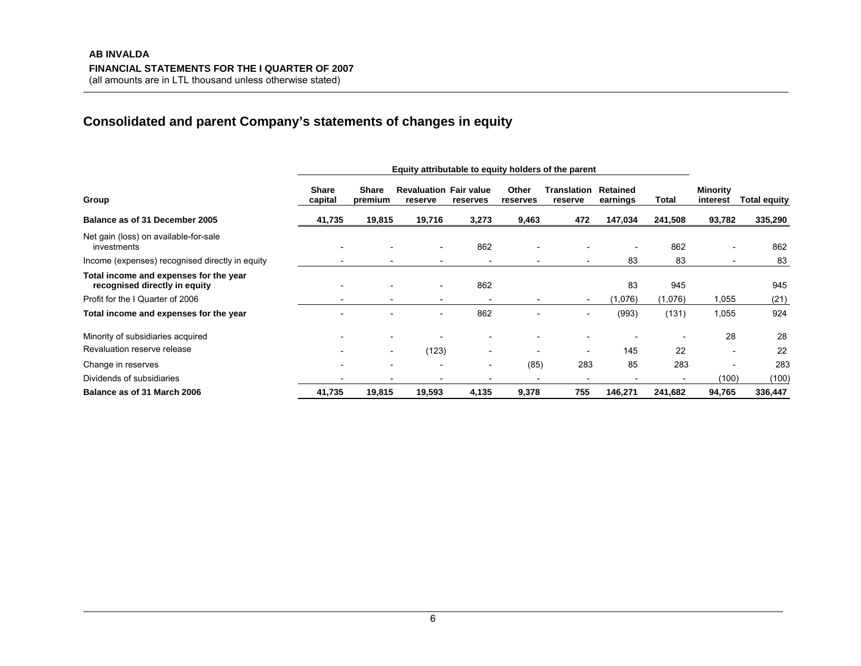# **Consolidated and parent Company's statements of changes in equity**

|                                                                         | Equity attributable to equity holders of the parent |                          |                                          |                          |                          |                               |                          |                          |                      |                     |
|-------------------------------------------------------------------------|-----------------------------------------------------|--------------------------|------------------------------------------|--------------------------|--------------------------|-------------------------------|--------------------------|--------------------------|----------------------|---------------------|
| Group                                                                   | <b>Share</b><br>capital                             | <b>Share</b><br>premium  | <b>Revaluation Fair value</b><br>reserve | reserves                 | Other<br>reserves        | <b>Translation</b><br>reserve | Retained<br>earnings     | Total                    | Minority<br>interest | <b>Total equity</b> |
| Balance as of 31 December 2005                                          | 41,735                                              | 19,815                   | 19,716                                   | 3,273                    | 9,463                    | 472                           | 147,034                  | 241,508                  | 93,782               | 335,290             |
| Net gain (loss) on available-for-sale<br>investments                    |                                                     |                          |                                          | 862                      |                          | $\overline{\phantom{0}}$      | $\overline{\phantom{a}}$ | 862                      |                      | 862                 |
| Income (expenses) recognised directly in equity                         |                                                     |                          |                                          |                          |                          | $\overline{\phantom{a}}$      | 83                       | 83                       |                      | 83                  |
| Total income and expenses for the year<br>recognised directly in equity |                                                     |                          | $\overline{\phantom{0}}$                 | 862                      |                          |                               | 83                       | 945                      |                      | 945                 |
| Profit for the I Quarter of 2006                                        |                                                     |                          |                                          |                          |                          | $\overline{\phantom{a}}$      | (1,076)                  | (1,076)                  | 1,055                | (21)                |
| Total income and expenses for the year                                  |                                                     |                          | $\qquad \qquad \blacksquare$             | 862                      |                          | $\qquad \qquad \blacksquare$  | (993)                    | (131)                    | 1,055                | 924                 |
| Minority of subsidiaries acquired                                       |                                                     |                          |                                          |                          |                          |                               |                          |                          | 28                   | 28                  |
| Revaluation reserve release                                             |                                                     | $\overline{\phantom{0}}$ | (123)                                    | $\overline{\phantom{a}}$ |                          | $\overline{\phantom{a}}$      | 145                      | 22                       |                      | 22                  |
| Change in reserves                                                      |                                                     |                          |                                          | $\overline{\phantom{a}}$ | (85)                     | 283                           | 85                       | 283                      |                      | 283                 |
| Dividends of subsidiaries                                               | $\blacksquare$                                      |                          |                                          |                          | $\overline{\phantom{0}}$ | $\overline{\phantom{a}}$      | $\overline{\phantom{0}}$ | $\overline{\phantom{0}}$ | (100)                | (100)               |
| Balance as of 31 March 2006                                             | 41,735                                              | 19,815                   | 19,593                                   | 4,135                    | 9,378                    | 755                           | 146,271                  | 241,682                  | 94,765               | 336,447             |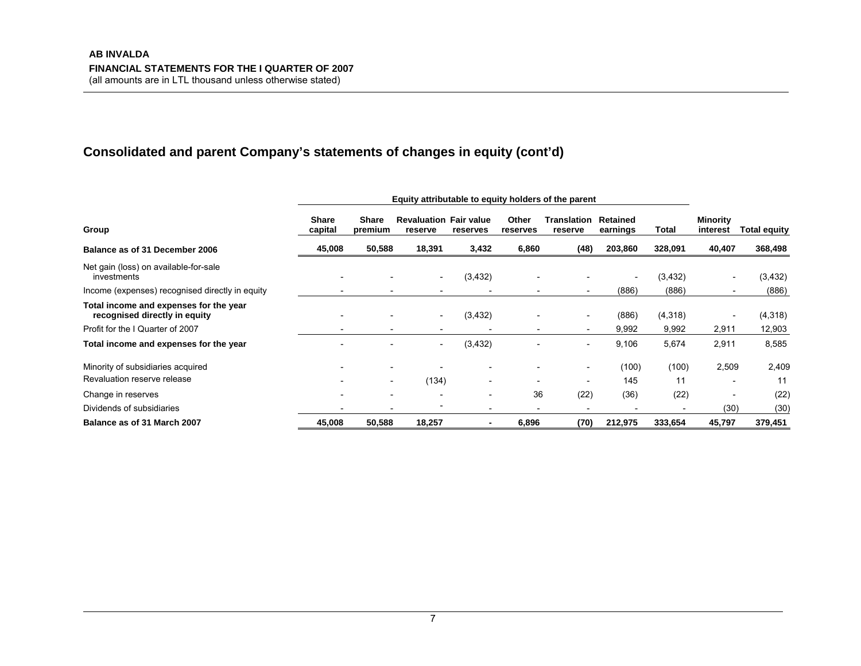# **Consolidated and parent Company's statements of changes in equity (cont'd)**

|                                                                         | Equity attributable to equity holders of the parent |                          |                                          |                          |                   |                          |                          |                          |                          |                     |
|-------------------------------------------------------------------------|-----------------------------------------------------|--------------------------|------------------------------------------|--------------------------|-------------------|--------------------------|--------------------------|--------------------------|--------------------------|---------------------|
| Group                                                                   | <b>Share</b><br>capital                             | <b>Share</b><br>premium  | <b>Revaluation Fair value</b><br>reserve | reserves                 | Other<br>reserves | Translation<br>reserve   | Retained<br>earnings     | Total                    | Minority<br>interest     | <b>Total equity</b> |
| Balance as of 31 December 2006                                          | 45,008                                              | 50,588                   | 18,391                                   | 3,432                    | 6,860             | (48)                     | 203,860                  | 328,091                  | 40,407                   | 368,498             |
| Net gain (loss) on available-for-sale<br>investments                    |                                                     |                          |                                          | (3, 432)                 |                   |                          | $\overline{\phantom{a}}$ | (3, 432)                 | $\overline{\phantom{0}}$ | (3, 432)            |
| Income (expenses) recognised directly in equity                         |                                                     | $\overline{\phantom{a}}$ |                                          |                          |                   | $\overline{\phantom{a}}$ | (886)                    | (886)                    |                          | (886)               |
| Total income and expenses for the year<br>recognised directly in equity |                                                     | $\overline{\phantom{0}}$ |                                          | (3,432)                  |                   |                          | (886)                    | (4,318)                  | $\overline{\phantom{0}}$ | (4,318)             |
| Profit for the I Quarter of 2007                                        |                                                     | $\overline{\phantom{a}}$ |                                          |                          |                   | $\overline{\phantom{a}}$ | 9,992                    | 9,992                    | 2,911                    | 12,903              |
| Total income and expenses for the year                                  |                                                     |                          | -                                        | (3, 432)                 |                   | $\overline{\phantom{0}}$ | 9,106                    | 5,674                    | 2,911                    | 8,585               |
| Minority of subsidiaries acquired                                       |                                                     | $\overline{\phantom{a}}$ |                                          |                          |                   | $\overline{\phantom{a}}$ | (100)                    | (100)                    | 2,509                    | 2,409               |
| Revaluation reserve release                                             |                                                     | $\overline{\phantom{a}}$ | (134)                                    |                          |                   |                          | 145                      | 11                       |                          | 11                  |
| Change in reserves                                                      |                                                     |                          |                                          |                          | 36                | (22)                     | (36)                     | (22)                     | $\overline{\phantom{0}}$ | (22)                |
| Dividends of subsidiaries                                               |                                                     |                          |                                          | $\overline{\phantom{0}}$ |                   |                          |                          | $\overline{\phantom{0}}$ | (30)                     | (30)                |
| Balance as of 31 March 2007                                             | 45,008                                              | 50,588                   | 18,257                                   | $\blacksquare$           | 6,896             | (70)                     | 212,975                  | 333,654                  | 45,797                   | 379,451             |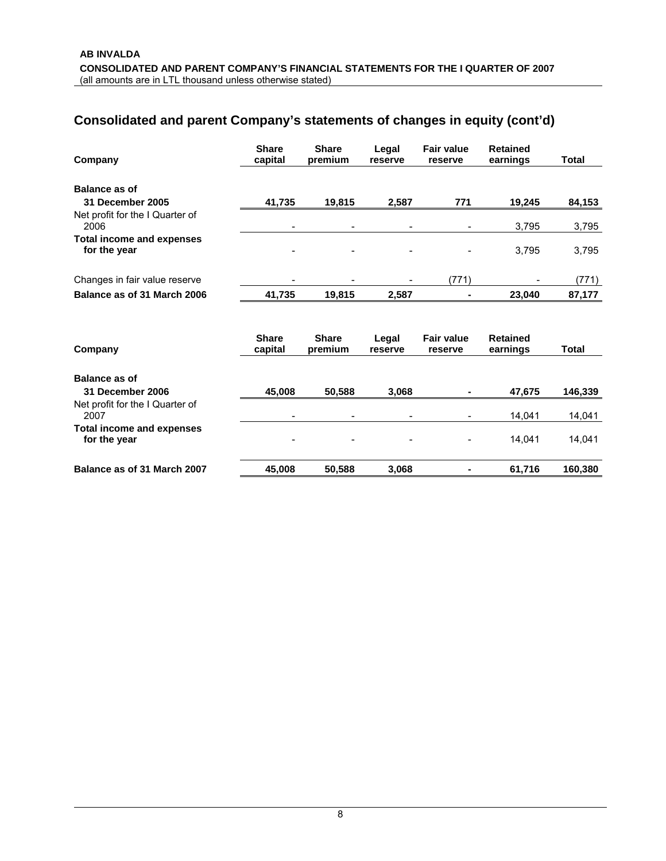# **Consolidated and parent Company's statements of changes in equity (cont'd)**

| Company                                          | <b>Share</b><br>capital | <b>Share</b><br>premium | Legal<br>reserve | <b>Fair value</b><br>reserve | <b>Retained</b><br>earnings | <b>Total</b> |
|--------------------------------------------------|-------------------------|-------------------------|------------------|------------------------------|-----------------------------|--------------|
| <b>Balance as of</b>                             |                         |                         |                  |                              |                             |              |
| 31 December 2005                                 | 41,735                  | 19,815                  | 2,587            | 771                          | 19,245                      | 84,153       |
| Net profit for the I Quarter of<br>2006          |                         | ۰                       |                  |                              | 3,795                       | 3,795        |
| <b>Total income and expenses</b><br>for the year |                         |                         |                  |                              | 3,795                       | 3,795        |
| Changes in fair value reserve                    |                         |                         |                  | (771)                        |                             | (771)        |
| Balance as of 31 March 2006                      | 41,735                  | 19,815                  | 2,587            | ۰                            | 23,040                      | 87,177       |
| Company                                          | <b>Share</b><br>capital | <b>Share</b><br>premium | Legal<br>reserve | <b>Fair value</b><br>reserve | <b>Retained</b><br>earnings | <b>Total</b> |
| <b>Balance as of</b>                             |                         |                         |                  |                              |                             |              |
| 31 December 2006                                 | 45,008                  | 50,588                  | 3,068            |                              | 47,675                      | 146,339      |
| Net profit for the I Quarter of<br>2007          |                         |                         |                  |                              | 14,041                      | 14,041       |
| <b>Total income and expenses</b><br>for the year |                         |                         |                  |                              | 14,041                      | 14,041       |
| Balance as of 31 March 2007                      | 45,008                  | 50,588                  | 3,068            |                              | 61,716                      | 160,380      |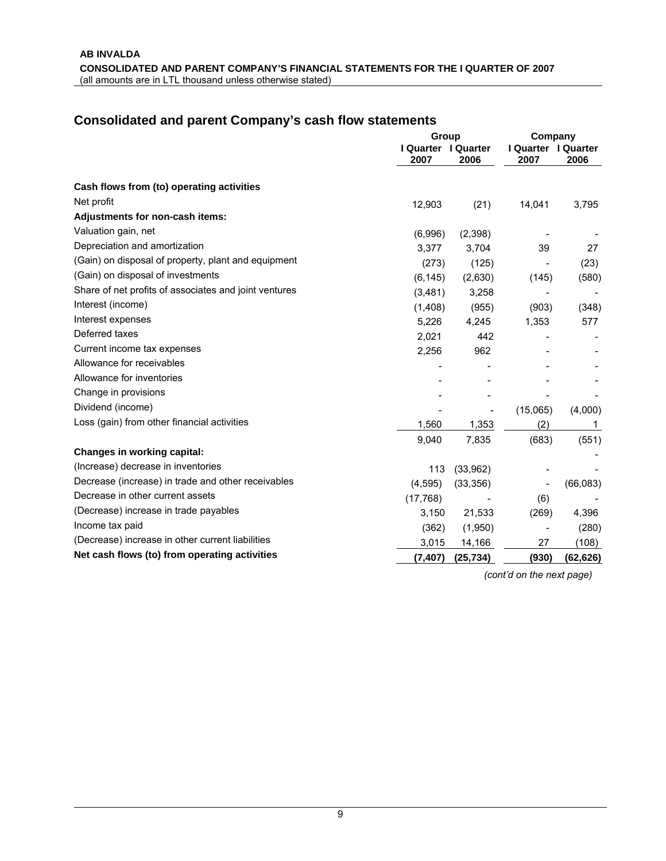### **Consolidated and parent Company's cash flow statements**

|                                                       | Group                       |           | Company                     |           |
|-------------------------------------------------------|-----------------------------|-----------|-----------------------------|-----------|
|                                                       | I Quarter I Quarter<br>2007 | 2006      | I Quarter I Quarter<br>2007 | 2006      |
| Cash flows from (to) operating activities             |                             |           |                             |           |
| Net profit                                            | 12,903                      | (21)      | 14,041                      | 3,795     |
| Adjustments for non-cash items:                       |                             |           |                             |           |
| Valuation gain, net                                   | (6,996)                     | (2,398)   |                             |           |
| Depreciation and amortization                         | 3,377                       | 3,704     | 39                          | 27        |
| (Gain) on disposal of property, plant and equipment   | (273)                       | (125)     |                             | (23)      |
| (Gain) on disposal of investments                     | (6, 145)                    | (2,630)   | (145)                       | (580)     |
| Share of net profits of associates and joint ventures | (3,481)                     | 3,258     |                             |           |
| Interest (income)                                     | (1,408)                     | (955)     | (903)                       | (348)     |
| Interest expenses                                     | 5,226                       | 4,245     | 1,353                       | 577       |
| Deferred taxes                                        | 2,021                       | 442       |                             |           |
| Current income tax expenses                           | 2,256                       | 962       |                             |           |
| Allowance for receivables                             |                             |           |                             |           |
| Allowance for inventories                             |                             |           |                             |           |
| Change in provisions                                  |                             |           |                             |           |
| Dividend (income)                                     |                             |           | (15,065)                    | (4,000)   |
| Loss (gain) from other financial activities           | 1,560                       | 1,353     | (2)                         | 1         |
|                                                       | 9,040                       | 7,835     | (683)                       | (551)     |
| <b>Changes in working capital:</b>                    |                             |           |                             |           |
| (Increase) decrease in inventories                    | 113                         | (33,962)  |                             |           |
| Decrease (increase) in trade and other receivables    | (4, 595)                    | (33, 356) |                             | (66,083)  |
| Decrease in other current assets                      | (17, 768)                   |           | (6)                         |           |
| (Decrease) increase in trade payables                 | 3,150                       | 21,533    | (269)                       | 4,396     |
| Income tax paid                                       | (362)                       | (1,950)   |                             | (280)     |
| (Decrease) increase in other current liabilities      | 3,015                       | 14,166    | 27                          | (108)     |
| Net cash flows (to) from operating activities         | (7, 407)                    | (25, 734) | (930)                       | (62, 626) |

*(cont'd on the next page)*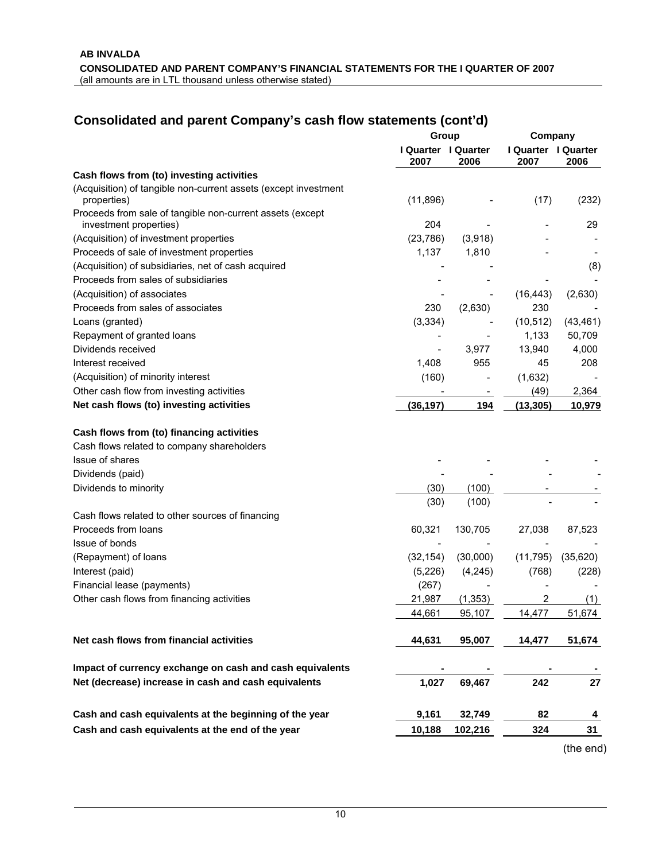# **Consolidated and parent Company's cash flow statements (cont'd)**

|                                                                                     | Group                       |                          | Company                     |           |
|-------------------------------------------------------------------------------------|-----------------------------|--------------------------|-----------------------------|-----------|
|                                                                                     | I Quarter I Quarter<br>2007 | 2006                     | I Quarter I Quarter<br>2007 | 2006      |
| Cash flows from (to) investing activities                                           |                             |                          |                             |           |
| (Acquisition) of tangible non-current assets (except investment<br>properties)      | (11, 896)                   |                          | (17)                        | (232)     |
| Proceeds from sale of tangible non-current assets (except<br>investment properties) | 204                         |                          |                             | 29        |
| (Acquisition) of investment properties                                              | (23, 786)                   | (3,918)                  |                             |           |
| Proceeds of sale of investment properties                                           | 1,137                       | 1,810                    |                             |           |
| (Acquisition) of subsidiaries, net of cash acquired                                 |                             |                          |                             | (8)       |
| Proceeds from sales of subsidiaries                                                 |                             |                          |                             |           |
| (Acquisition) of associates                                                         |                             |                          | (16, 443)                   | (2,630)   |
| Proceeds from sales of associates                                                   | 230                         | (2,630)                  | 230                         |           |
| Loans (granted)                                                                     | (3, 334)                    |                          | (10, 512)                   | (43, 461) |
| Repayment of granted loans                                                          |                             |                          | 1,133                       | 50,709    |
| Dividends received                                                                  | $\overline{a}$              | 3,977                    | 13,940                      | 4,000     |
| Interest received                                                                   | 1,408                       | 955                      | 45                          | 208       |
| (Acquisition) of minority interest                                                  | (160)                       | $\overline{\phantom{a}}$ | (1,632)                     |           |
| Other cash flow from investing activities                                           |                             |                          | (49)                        | 2,364     |
| Net cash flows (to) investing activities                                            | (36, 197)                   | 194                      | (13, 305)                   | 10,979    |
| Cash flows from (to) financing activities                                           |                             |                          |                             |           |
| Cash flows related to company shareholders                                          |                             |                          |                             |           |
| Issue of shares                                                                     |                             |                          |                             |           |
| Dividends (paid)                                                                    |                             |                          |                             |           |
| Dividends to minority                                                               | (30)                        | (100)                    |                             |           |
|                                                                                     | (30)                        | (100)                    |                             |           |
| Cash flows related to other sources of financing                                    |                             |                          |                             |           |
| Proceeds from loans                                                                 | 60,321                      | 130,705                  | 27,038                      | 87,523    |
| Issue of bonds                                                                      |                             |                          |                             |           |
| (Repayment) of loans                                                                | (32, 154)                   | (30,000)                 | (11, 795)                   | (35,620)  |
| Interest (paid)                                                                     | (5,226)                     | (4, 245)                 | (768)                       | (228)     |
| Financial lease (payments)                                                          | (267)                       |                          |                             |           |
| Other cash flows from financing activities                                          | 21,987                      | (1, 353)                 | 2                           | (1)       |
|                                                                                     | 44,661                      |                          | 14,477                      |           |
|                                                                                     |                             | 95,107                   |                             | 51,674    |
| Net cash flows from financial activities                                            | 44,631                      | 95,007                   | 14,477                      | 51,674    |
| Impact of currency exchange on cash and cash equivalents                            |                             |                          |                             |           |
| Net (decrease) increase in cash and cash equivalents                                | 1,027                       | 69,467                   | 242                         | 27        |
| Cash and cash equivalents at the beginning of the year                              | 9,161                       | 32,749                   | 82                          | 4         |
| Cash and cash equivalents at the end of the year                                    |                             |                          |                             | 31        |
|                                                                                     | 10,188                      | 102,216                  | 324                         |           |
|                                                                                     |                             |                          |                             | (the end) |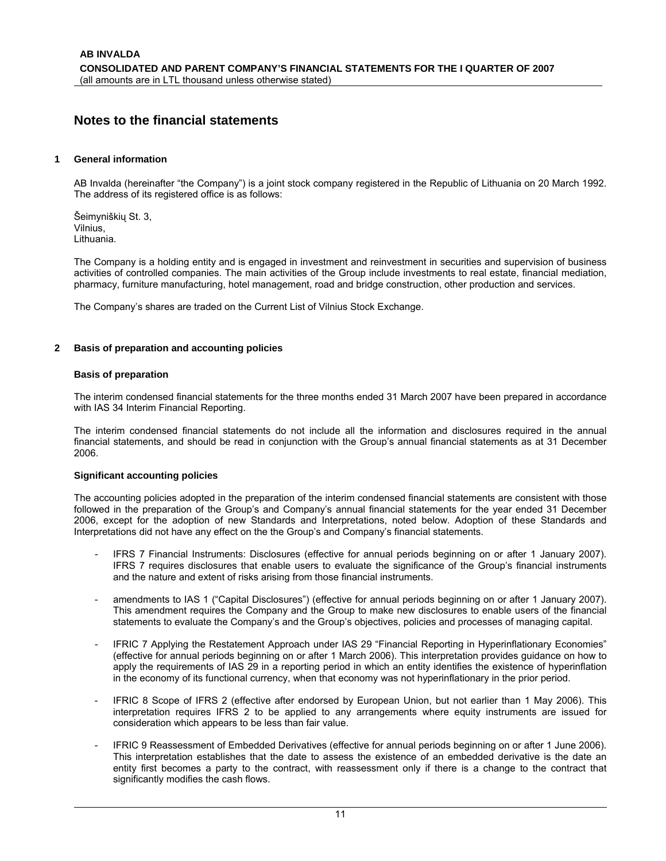### **Notes to the financial statements**

#### **1 General information**

AB Invalda (hereinafter "the Company") is a joint stock company registered in the Republic of Lithuania on 20 March 1992. The address of its registered office is as follows:

Šeimyniškių St. 3, Vilnius, Lithuania.

The Company is a holding entity and is engaged in investment and reinvestment in securities and supervision of business activities of controlled companies. The main activities of the Group include investments to real estate, financial mediation, pharmacy, furniture manufacturing, hotel management, road and bridge construction, other production and services.

The Company's shares are traded on the Current List of Vilnius Stock Exchange.

#### **2 Basis of preparation and accounting policies**

#### **Basis of preparation**

The interim condensed financial statements for the three months ended 31 March 2007 have been prepared in accordance with IAS 34 Interim Financial Reporting.

The interim condensed financial statements do not include all the information and disclosures required in the annual financial statements, and should be read in conjunction with the Group's annual financial statements as at 31 December 2006.

#### **Significant accounting policies**

The accounting policies adopted in the preparation of the interim condensed financial statements are consistent with those followed in the preparation of the Group's and Company's annual financial statements for the year ended 31 December 2006, except for the adoption of new Standards and Interpretations, noted below. Adoption of these Standards and Interpretations did not have any effect on the the Group's and Company's financial statements.

- IFRS 7 Financial Instruments: Disclosures (effective for annual periods beginning on or after 1 January 2007). IFRS 7 requires disclosures that enable users to evaluate the significance of the Group's financial instruments and the nature and extent of risks arising from those financial instruments.
- amendments to IAS 1 ("Capital Disclosures") (effective for annual periods beginning on or after 1 January 2007). This amendment requires the Company and the Group to make new disclosures to enable users of the financial statements to evaluate the Company's and the Group's objectives, policies and processes of managing capital.
- IFRIC 7 Applying the Restatement Approach under IAS 29 "Financial Reporting in Hyperinflationary Economies" (effective for annual periods beginning on or after 1 March 2006). This interpretation provides guidance on how to apply the requirements of IAS 29 in a reporting period in which an entity identifies the existence of hyperinflation in the economy of its functional currency, when that economy was not hyperinflationary in the prior period.
- IFRIC 8 Scope of IFRS 2 (effective after endorsed by European Union, but not earlier than 1 May 2006). This interpretation requires IFRS 2 to be applied to any arrangements where equity instruments are issued for consideration which appears to be less than fair value.
- IFRIC 9 Reassessment of Embedded Derivatives (effective for annual periods beginning on or after 1 June 2006). This interpretation establishes that the date to assess the existence of an embedded derivative is the date an entity first becomes a party to the contract, with reassessment only if there is a change to the contract that significantly modifies the cash flows.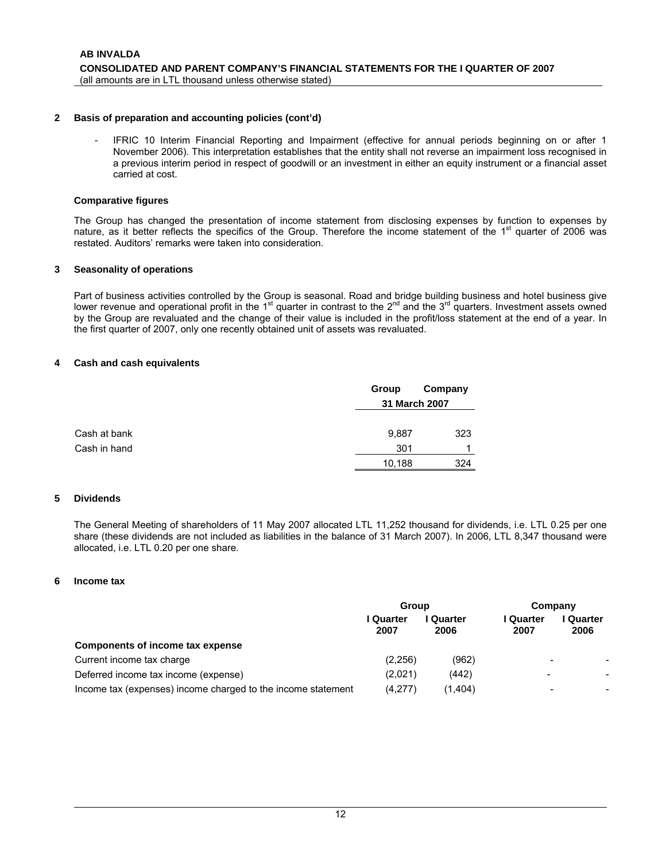#### **2 Basis of preparation and accounting policies (cont'd)**

IFRIC 10 Interim Financial Reporting and Impairment (effective for annual periods beginning on or after 1 November 2006). This interpretation establishes that the entity shall not reverse an impairment loss recognised in a previous interim period in respect of goodwill or an investment in either an equity instrument or a financial asset carried at cost.

#### **Comparative figures**

The Group has changed the presentation of income statement from disclosing expenses by function to expenses by nature, as it better reflects the specifics of the Group. Therefore the income statement of the  $1<sup>st</sup>$  quarter of 2006 was restated. Auditors' remarks were taken into consideration.

#### **3 Seasonality of operations**

Part of business activities controlled by the Group is seasonal. Road and bridge building business and hotel business give lower revenue and operational profit in the 1<sup>st</sup> quarter in contrast to the 2<sup>nd</sup> and the 3<sup>rd</sup> quarters. Investment assets owned by the Group are revaluated and the change of their value is included in the profit/loss statement at the end of a year. In the first quarter of 2007, only one recently obtained unit of assets was revaluated.

#### **4 Cash and cash equivalents**

|              | Group  | Company       |
|--------------|--------|---------------|
|              |        | 31 March 2007 |
| Cash at bank | 9,887  | 323           |
| Cash in hand | 301    | 4             |
|              | 10,188 | 324           |

#### **5 Dividends**

The General Meeting of shareholders of 11 May 2007 allocated LTL 11,252 thousand for dividends, i.e. LTL 0.25 per one share (these dividends are not included as liabilities in the balance of 31 March 2007). In 2006, LTL 8,347 thousand were allocated, i.e. LTL 0.20 per one share.

#### **6 Income tax**

|                                                              | <b>Group</b>      |                 | Company                  |                   |  |
|--------------------------------------------------------------|-------------------|-----------------|--------------------------|-------------------|--|
|                                                              | I Quarter<br>2007 | Quarter<br>2006 | l Quarter<br>2007        | l Quarter<br>2006 |  |
| Components of income tax expense                             |                   |                 |                          |                   |  |
| Current income tax charge                                    | (2,256)           | (962)           | $\overline{\phantom{0}}$ |                   |  |
| Deferred income tax income (expense)                         | (2,021)           | (442)           | $\overline{\phantom{0}}$ | -                 |  |
| Income tax (expenses) income charged to the income statement | (4,277)           | (1,404)         | $\overline{\phantom{0}}$ |                   |  |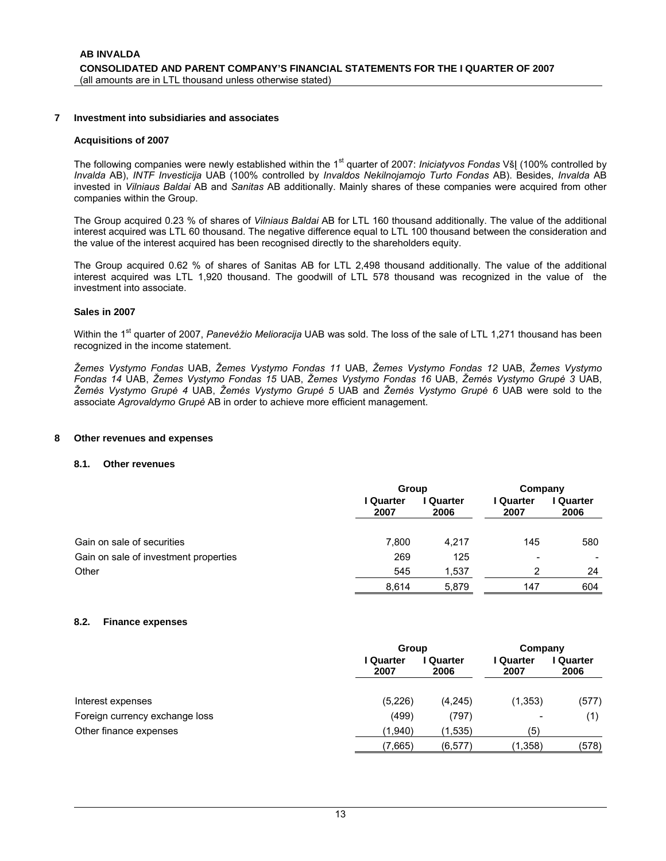#### **7 Investment into subsidiaries and associates**

#### **Acquisitions of 2007**

The following companies were newly established within the 1<sup>st</sup> quarter of 2007: *Iniciatyvos Fondas* VšĮ (100% controlled by *Invalda* AB), *INTF Investicija* UAB (100% controlled by *Invaldos Nekilnojamojo Turto Fondas* AB). Besides, *Invalda* AB invested in *Vilniaus Baldai* AB and *Sanitas* AB additionally. Mainly shares of these companies were acquired from other companies within the Group.

The Group acquired 0.23 % of shares of *Vilniaus Baldai* AB for LTL 160 thousand additionally. The value of the additional interest acquired was LTL 60 thousand. The negative difference equal to LTL 100 thousand between the consideration and the value of the interest acquired has been recognised directly to the shareholders equity.

The Group acquired 0.62 % of shares of Sanitas AB for LTL 2,498 thousand additionally. The value of the additional interest acquired was LTL 1,920 thousand. The goodwill of LTL 578 thousand was recognized in the value of the investment into associate.

#### **Sales in 2007**

Within the 1<sup>st</sup> quarter of 2007, *Panevėžio Melioracija* UAB was sold. The loss of the sale of LTL 1,271 thousand has been recognized in the income statement.

*Žemes Vystymo Fondas* UAB, *Žemes Vystymo Fondas 11* UAB, *Žemes Vystymo Fondas 12* UAB, *Žemes Vystymo Fondas 14* UAB, *Žemes Vystymo Fondas 15* UAB, *Žemes Vystymo Fondas 16* UAB, *Žemės Vystymo Grupė 3* UAB, *Žemės Vystymo Grupė 4* UAB, *Žemės Vystymo Grupė 5* UAB and *Žemės Vystymo Grupė 6* UAB were sold to the associate *Agrovaldymo Grupė* AB in order to achieve more efficient management.

#### **8 Other revenues and expenses**

#### **8.1. Other revenues**

|                                       | Group             |                 | Company                  |                   |
|---------------------------------------|-------------------|-----------------|--------------------------|-------------------|
|                                       | I Quarter<br>2007 | Quarter<br>2006 | l Quarter<br>2007        | l Quarter<br>2006 |
| Gain on sale of securities            | 7,800             | 4,217           | 145                      | 580               |
| Gain on sale of investment properties | 269               | 125             | $\overline{\phantom{0}}$ | -                 |
| Other                                 | 545               | 1,537           | 2                        | 24                |
|                                       | 8.614             | 5.879           | 147                      | 604               |

#### **8.2. Finance expenses**

|                                |                   | Group                                       |          |                 |
|--------------------------------|-------------------|---------------------------------------------|----------|-----------------|
|                                | I Quarter<br>2007 | I Quarter<br><b>Quarter</b><br>2006<br>2007 |          | Quarter<br>2006 |
| Interest expenses              | (5,226)           | (4,245)                                     | (1, 353) | (577)           |
| Foreign currency exchange loss | (499)             | (797)                                       | -        | (1)             |
| Other finance expenses         | (1.940)           | (1,535)                                     | (5)      |                 |
|                                | (7,665)           | (6, 577)                                    | (1,358)  | (578)           |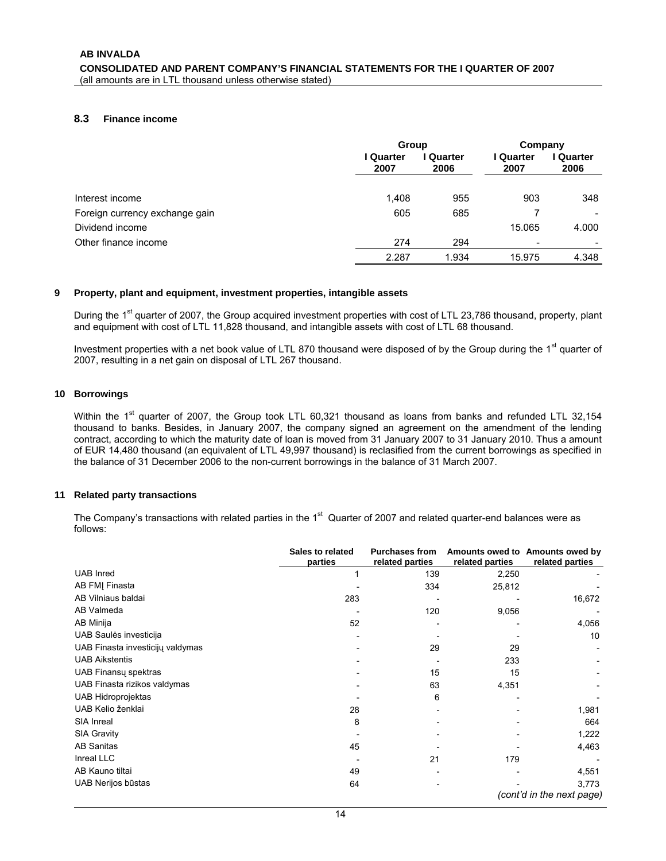#### **8.3 Finance income**

|                                | Group             |                 | Company           |                 |
|--------------------------------|-------------------|-----------------|-------------------|-----------------|
|                                | I Quarter<br>2007 | Quarter<br>2006 | l Quarter<br>2007 | Quarter<br>2006 |
|                                |                   |                 |                   |                 |
| Interest income                | 1,408             | 955             | 903               | 348             |
| Foreign currency exchange gain | 605               | 685             |                   |                 |
| Dividend income                |                   |                 | 15.065            | 4.000           |
| Other finance income           | 274               | 294             |                   |                 |
|                                | 2.287             | 1.934           | 15.975            | 4.348           |

#### **9 Property, plant and equipment, investment properties, intangible assets**

During the 1<sup>st</sup> quarter of 2007, the Group acquired investment properties with cost of LTL 23,786 thousand, property, plant and equipment with cost of LTL 11,828 thousand, and intangible assets with cost of LTL 68 thousand.

Investment properties with a net book value of LTL 870 thousand were disposed of by the Group during the 1<sup>st</sup> quarter of 2007, resulting in a net gain on disposal of LTL 267 thousand.

#### **10 Borrowings**

Within the 1<sup>st</sup> quarter of 2007, the Group took LTL 60,321 thousand as loans from banks and refunded LTL 32,154 thousand to banks. Besides, in January 2007, the company signed an agreement on the amendment of the lending contract, according to which the maturity date of loan is moved from 31 January 2007 to 31 January 2010. Thus a amount of EUR 14,480 thousand (an equivalent of LTL 49,997 thousand) is reclasified from the current borrowings as specified in the balance of 31 December 2006 to the non-current borrowings in the balance of 31 March 2007.

#### **11 Related party transactions**

The Company's transactions with related parties in the 1<sup>st</sup> Quarter of 2007 and related quarter-end balances were as follows:

|                                  | Sales to related<br>parties | <b>Purchases from</b><br>related parties | related parties | Amounts owed to Amounts owed by<br>related parties |
|----------------------------------|-----------------------------|------------------------------------------|-----------------|----------------------------------------------------|
| <b>UAB</b> Inred                 |                             | 139                                      | 2,250           |                                                    |
| AB FMJ Finasta                   |                             | 334                                      | 25,812          |                                                    |
| AB Vilniaus baldai               | 283                         |                                          |                 | 16,672                                             |
| AB Valmeda                       |                             | 120                                      | 9,056           |                                                    |
| AB Minija                        | 52                          |                                          |                 | 4,056                                              |
| UAB Saulės investicija           |                             |                                          |                 | 10                                                 |
| UAB Finasta investicijų valdymas |                             | 29                                       | 29              |                                                    |
| <b>UAB Aikstentis</b>            |                             |                                          | 233             |                                                    |
| UAB Finansų spektras             |                             | 15                                       | 15              |                                                    |
| UAB Finasta rizikos valdymas     |                             | 63                                       | 4,351           |                                                    |
| <b>UAB Hidroprojektas</b>        |                             | 6                                        |                 |                                                    |
| UAB Kelio ženklai                | 28                          |                                          |                 | 1,981                                              |
| SIA Inreal                       | 8                           |                                          |                 | 664                                                |
| <b>SIA Gravity</b>               |                             |                                          |                 | 1,222                                              |
| <b>AB Sanitas</b>                | 45                          |                                          |                 | 4,463                                              |
| Inreal LLC                       |                             | 21                                       | 179             |                                                    |
| AB Kauno tiltai                  | 49                          |                                          |                 | 4,551                                              |
| UAB Nerijos būstas               | 64                          |                                          |                 | 3,773                                              |
|                                  |                             |                                          |                 | (cont'd in the next page)                          |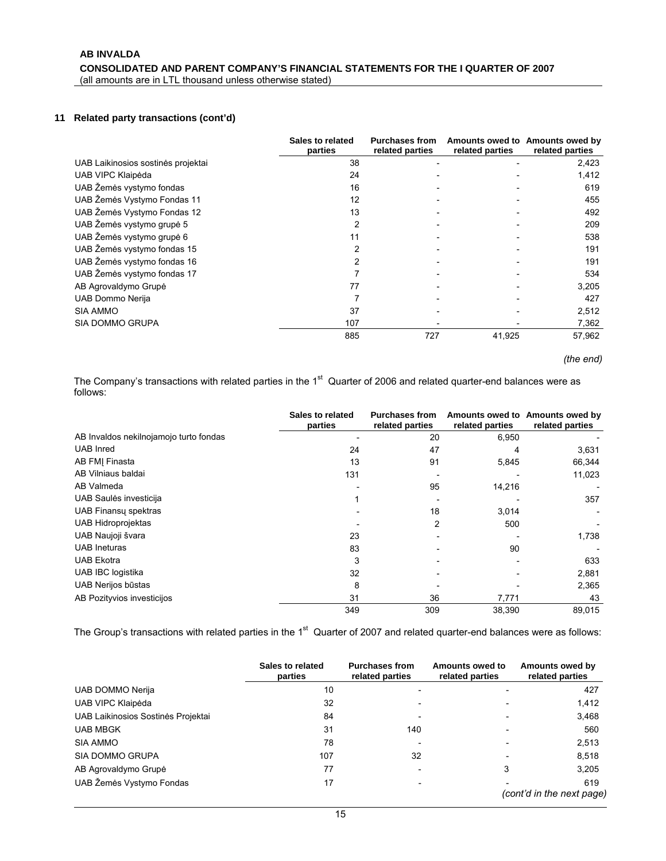#### **11 Related party transactions (cont'd)**

|                                    | Sales to related<br>parties | <b>Purchases from</b><br>related parties | related parties | Amounts owed to Amounts owed by<br>related parties |
|------------------------------------|-----------------------------|------------------------------------------|-----------------|----------------------------------------------------|
| UAB Laikinosios sostinės projektai | 38                          |                                          |                 | 2,423                                              |
| UAB VIPC Klaipėda                  | 24                          |                                          |                 | 1,412                                              |
| UAB Žemės vystymo fondas           | 16                          |                                          |                 | 619                                                |
| UAB Žemės Vystymo Fondas 11        | 12                          |                                          |                 | 455                                                |
| UAB Žemės Vystymo Fondas 12        | 13                          |                                          |                 | 492                                                |
| UAB Žemės vystymo grupė 5          | 2                           |                                          |                 | 209                                                |
| UAB Žemės vystymo grupė 6          | 11                          |                                          |                 | 538                                                |
| UAB Žemės vystymo fondas 15        | 2                           |                                          |                 | 191                                                |
| UAB Žemės vystymo fondas 16        | 2                           |                                          |                 | 191                                                |
| UAB Žemės vystymo fondas 17        |                             |                                          |                 | 534                                                |
| AB Agrovaldymo Grupė               | 77                          |                                          |                 | 3,205                                              |
| UAB Dommo Nerija                   |                             |                                          |                 | 427                                                |
| <b>SIA AMMO</b>                    | 37                          |                                          |                 | 2,512                                              |
| SIA DOMMO GRUPA                    | 107                         |                                          |                 | 7,362                                              |
|                                    | 885                         | 727                                      | 41,925          | 57,962                                             |

*(the end)* 

The Company's transactions with related parties in the 1<sup>st</sup> Quarter of 2006 and related quarter-end balances were as follows:

|                                        | Sales to related<br>parties | <b>Purchases from</b><br>related parties | related parties | Amounts owed to Amounts owed by<br>related parties |
|----------------------------------------|-----------------------------|------------------------------------------|-----------------|----------------------------------------------------|
| AB Invaldos nekilnojamojo turto fondas |                             | 20                                       | 6,950           |                                                    |
| <b>UAB</b> Inred                       | 24                          | 47                                       | 4               | 3,631                                              |
| AB FMJ Finasta                         | 13                          | 91                                       | 5,845           | 66,344                                             |
| AB Vilniaus baldai                     | 131                         |                                          |                 | 11,023                                             |
| AB Valmeda                             |                             | 95                                       | 14,216          |                                                    |
| UAB Saulės investicija                 |                             |                                          |                 | 357                                                |
| UAB Finansy spektras                   |                             | 18                                       | 3,014           |                                                    |
| <b>UAB Hidroprojektas</b>              |                             | 2                                        | 500             |                                                    |
| UAB Naujoji švara                      | 23                          |                                          |                 | 1,738                                              |
| <b>UAB</b> Ineturas                    | 83                          |                                          | 90              |                                                    |
| <b>UAB Ekotra</b>                      | 3                           |                                          |                 | 633                                                |
| <b>UAB IBC logistika</b>               | 32                          |                                          |                 | 2,881                                              |
| UAB Nerijos būstas                     | 8                           |                                          |                 | 2,365                                              |
| AB Pozityvios investicijos             | 31                          | 36                                       | 7,771           | 43                                                 |
|                                        | 349                         | 309                                      | 38,390          | 89,015                                             |

The Group's transactions with related parties in the  $1<sup>st</sup>$  Quarter of 2007 and related quarter-end balances were as follows:

|                                    | Sales to related<br>parties | <b>Purchases from</b><br>related parties | Amounts owed to<br>related parties | Amounts owed by<br>related parties |
|------------------------------------|-----------------------------|------------------------------------------|------------------------------------|------------------------------------|
| UAB DOMMO Nerija                   | 10                          |                                          |                                    | 427                                |
| UAB VIPC Klaipėda                  | 32                          |                                          |                                    | 1,412                              |
| UAB Laikinosios Sostinės Projektai | 84                          |                                          | $\overline{\phantom{a}}$           | 3,468                              |
| <b>UAB MBGK</b>                    | 31                          | 140                                      |                                    | 560                                |
| <b>SIA AMMO</b>                    | 78                          | $\overline{\phantom{0}}$                 |                                    | 2,513                              |
| <b>SIA DOMMO GRUPA</b>             | 107                         | 32                                       |                                    | 8,518                              |
| AB Agrovaldymo Grupė               | 77                          |                                          | 3                                  | 3,205                              |
| UAB Žemės Vystymo Fondas           | 17                          | $\overline{\phantom{a}}$                 |                                    | 619<br>(cont'd in the next page)   |